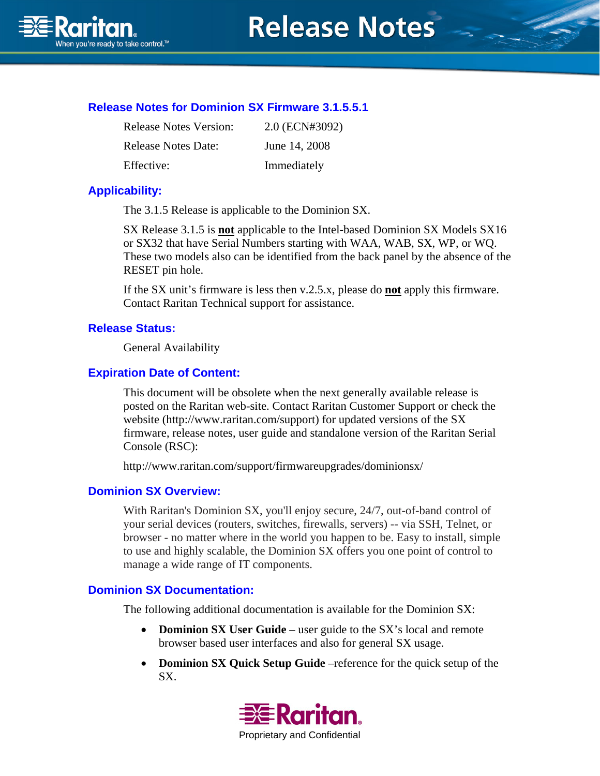

Raritan.<br>Mhen you're ready to take control.<sup>76</sup>

# **Release Notes for Dominion SX Firmware 3.1.5.5.1**

| <b>Release Notes Version:</b> | 2.0 (ECN#3092) |
|-------------------------------|----------------|
| <b>Release Notes Date:</b>    | June 14, 2008  |
| Effective:                    | Immediately    |

## **Applicability:**

The 3.1.5 Release is applicable to the Dominion SX.

SX Release 3.1.5 is **not** applicable to the Intel-based Dominion SX Models SX16 or SX32 that have Serial Numbers starting with WAA, WAB, SX, WP, or WQ. These two models also can be identified from the back panel by the absence of the RESET pin hole.

If the SX unit's firmware is less then v.2.5.x, please do **not** apply this firmware. Contact Raritan Technical support for assistance.

#### **Release Status:**

General Availability

#### **Expiration Date of Content:**

This document will be obsolete when the next generally available release is posted on the Raritan web-site. Contact Raritan Customer Support or check the website (http://www.raritan.com/support) for updated versions of the SX firmware, release notes, user guide and standalone version of the Raritan Serial Console (RSC):

http://www.raritan.com/support/firmwareupgrades/dominionsx/

#### **Dominion SX Overview:**

With Raritan's Dominion SX, you'll enjoy secure, 24/7, out-of-band control of your serial devices (routers, switches, firewalls, servers) -- via SSH, Telnet, or browser - no matter where in the world you happen to be. Easy to install, simple to use and highly scalable, the Dominion SX offers you one point of control to manage a wide range of IT components.

### **Dominion SX Documentation:**

The following additional documentation is available for the Dominion SX:

- **Dominion SX User Guide** user guide to the SX's local and remote browser based user interfaces and also for general SX usage.
- **Dominion SX Quick Setup Guide** –reference for the quick setup of the SX.

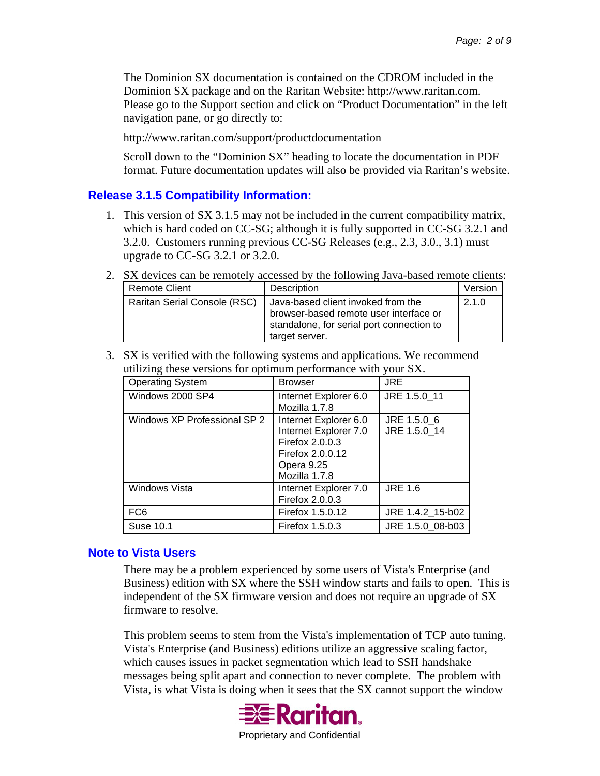The Dominion SX documentation is contained on the CDROM included in the Dominion SX package and on the Raritan Website: http://www.raritan.com. Please go to the Support section and click on "Product Documentation" in the left navigation pane, or go directly to:

http://www.raritan.com/support/productdocumentation

Scroll down to the "Dominion SX" heading to locate the documentation in PDF format. Future documentation updates will also be provided via Raritan's website.

### **Release 3.1.5 Compatibility Information:**

- 1. This version of SX 3.1.5 may not be included in the current compatibility matrix, which is hard coded on CC-SG; although it is fully supported in CC-SG 3.2.1 and 3.2.0. Customers running previous CC-SG Releases (e.g., 2.3, 3.0., 3.1) must upgrade to CC-SG 3.2.1 or 3.2.0.
- 2. SX devices can be remotely accessed by the following Java-based remote clients:

| Remote Client                       | Description                                                                                                                                 | Version |
|-------------------------------------|---------------------------------------------------------------------------------------------------------------------------------------------|---------|
| <b>Raritan Serial Console (RSC)</b> | Java-based client invoked from the<br>browser-based remote user interface or<br>standalone, for serial port connection to<br>target server. | 2.1.0   |

3. SX is verified with the following systems and applications. We recommend utilizing these versions for optimum performance with your SX.

| <b>Operating System</b>      | <b>Browser</b>                                                                                                       | <b>JRE</b>                  |
|------------------------------|----------------------------------------------------------------------------------------------------------------------|-----------------------------|
| Windows 2000 SP4             | Internet Explorer 6.0<br>Mozilla 1.7.8                                                                               | JRE 1.5.0 11                |
| Windows XP Professional SP 2 | Internet Explorer 6.0<br>Internet Explorer 7.0<br>Firefox 2.0.0.3<br>Firefox 2.0.0.12<br>Opera 9.25<br>Mozilla 1.7.8 | JRE 1.5.0 6<br>JRE 1.5.0 14 |
| Windows Vista                | Internet Explorer 7.0<br>Firefox 2.0.0.3                                                                             | <b>JRE 1.6</b>              |
| FC <sub>6</sub>              | Firefox 1.5.0.12                                                                                                     | JRE 1.4.2 15-b02            |
| Suse 10.1                    | Firefox 1.5.0.3                                                                                                      | JRE 1.5.0 08-b03            |

#### **Note to Vista Users**

There may be a problem experienced by some users of Vista's Enterprise (and Business) edition with SX where the SSH window starts and fails to open. This is independent of the SX firmware version and does not require an upgrade of SX firmware to resolve.

This problem seems to stem from the Vista's implementation of TCP auto tuning. Vista's Enterprise (and Business) editions utilize an aggressive scaling factor, which causes issues in packet segmentation which lead to SSH handshake messages being split apart and connection to never complete. The problem with Vista, is what Vista is doing when it sees that the SX cannot support the window

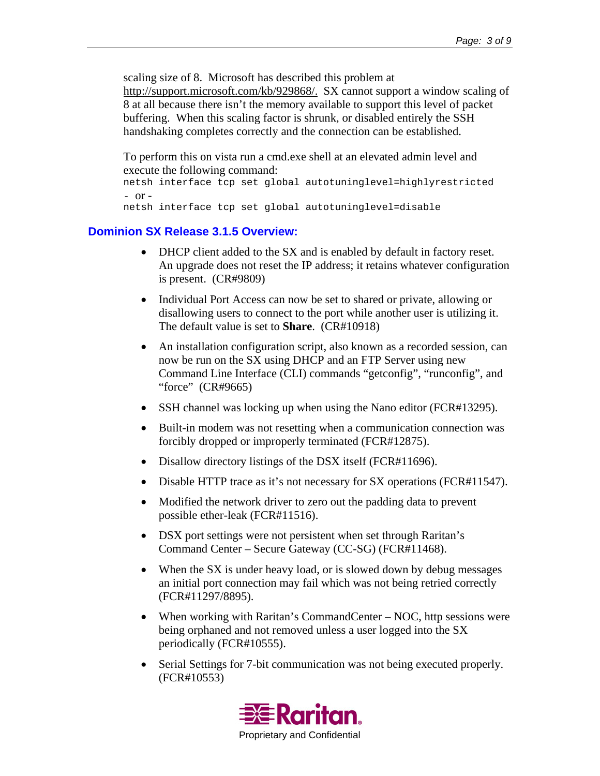scaling size of 8. Microsoft has described this problem at

http://support.microsoft.com/kb/929868/. SX cannot support a window scaling of 8 at all because there isn't the memory available to support this level of packet buffering. When this scaling factor is shrunk, or disabled entirely the SSH handshaking completes correctly and the connection can be established.

To perform this on vista run a cmd.exe shell at an elevated admin level and execute the following command:

```
netsh interface tcp set global autotuninglevel=highlyrestricted 
- or -
```

```
netsh interface tcp set global autotuninglevel=disable
```
### **Dominion SX Release 3.1.5 Overview:**

- DHCP client added to the SX and is enabled by default in factory reset. An upgrade does not reset the IP address; it retains whatever configuration is present. (CR#9809)
- Individual Port Access can now be set to shared or private, allowing or disallowing users to connect to the port while another user is utilizing it. The default value is set to **Share**. (CR#10918)
- An installation configuration script, also known as a recorded session, can now be run on the SX using DHCP and an FTP Server using new Command Line Interface (CLI) commands "getconfig", "runconfig", and "force" (CR#9665)
- SSH channel was locking up when using the Nano editor (FCR#13295).
- Built-in modem was not resetting when a communication connection was forcibly dropped or improperly terminated (FCR#12875).
- Disallow directory listings of the DSX itself (FCR#11696).
- Disable HTTP trace as it's not necessary for SX operations (FCR#11547).
- Modified the network driver to zero out the padding data to prevent possible ether-leak (FCR#11516).
- DSX port settings were not persistent when set through Raritan's Command Center – Secure Gateway (CC-SG) (FCR#11468).
- When the SX is under heavy load, or is slowed down by debug messages an initial port connection may fail which was not being retried correctly (FCR#11297/8895).
- When working with Raritan's CommandCenter NOC, http sessions were being orphaned and not removed unless a user logged into the SX periodically (FCR#10555).
- Serial Settings for 7-bit communication was not being executed properly. (FCR#10553)

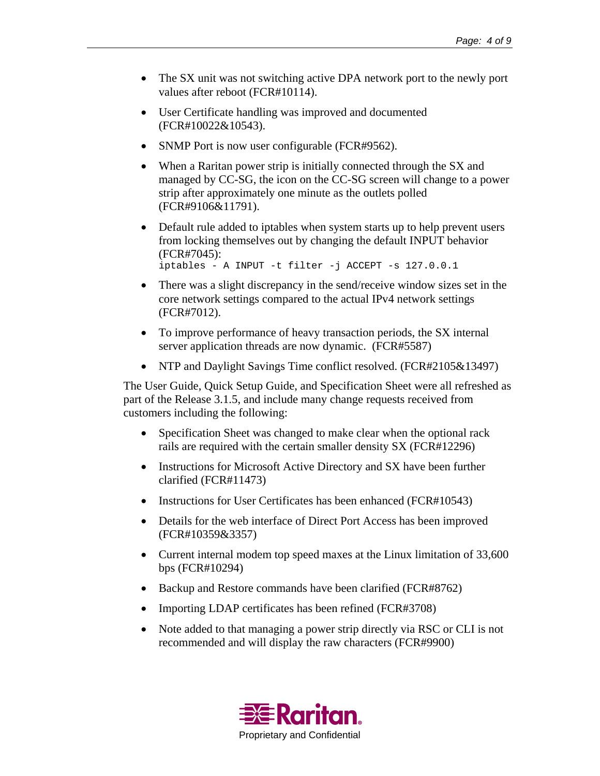- The SX unit was not switching active DPA network port to the newly port values after reboot (FCR#10114).
- User Certificate handling was improved and documented (FCR#10022&10543).
- SNMP Port is now user configurable (FCR#9562).
- When a Raritan power strip is initially connected through the SX and managed by CC-SG, the icon on the CC-SG screen will change to a power strip after approximately one minute as the outlets polled (FCR#9106&11791).
- Default rule added to iptables when system starts up to help prevent users from locking themselves out by changing the default INPUT behavior (FCR#7045): iptables - A INPUT -t filter -j ACCEPT -s 127.0.0.1
- There was a slight discrepancy in the send/receive window sizes set in the core network settings compared to the actual IPv4 network settings (FCR#7012).
- To improve performance of heavy transaction periods, the SX internal server application threads are now dynamic. (FCR#5587)
- NTP and Daylight Savings Time conflict resolved. (FCR#2105&13497)

The User Guide, Quick Setup Guide, and Specification Sheet were all refreshed as part of the Release 3.1.5, and include many change requests received from customers including the following:

- Specification Sheet was changed to make clear when the optional rack rails are required with the certain smaller density SX (FCR#12296)
- Instructions for Microsoft Active Directory and SX have been further clarified (FCR#11473)
- Instructions for User Certificates has been enhanced (FCR#10543)
- Details for the web interface of Direct Port Access has been improved (FCR#10359&3357)
- Current internal modem top speed maxes at the Linux limitation of 33,600 bps (FCR#10294)
- Backup and Restore commands have been clarified (FCR#8762)
- Importing LDAP certificates has been refined (FCR#3708)
- Note added to that managing a power strip directly via RSC or CLI is not recommended and will display the raw characters (FCR#9900)

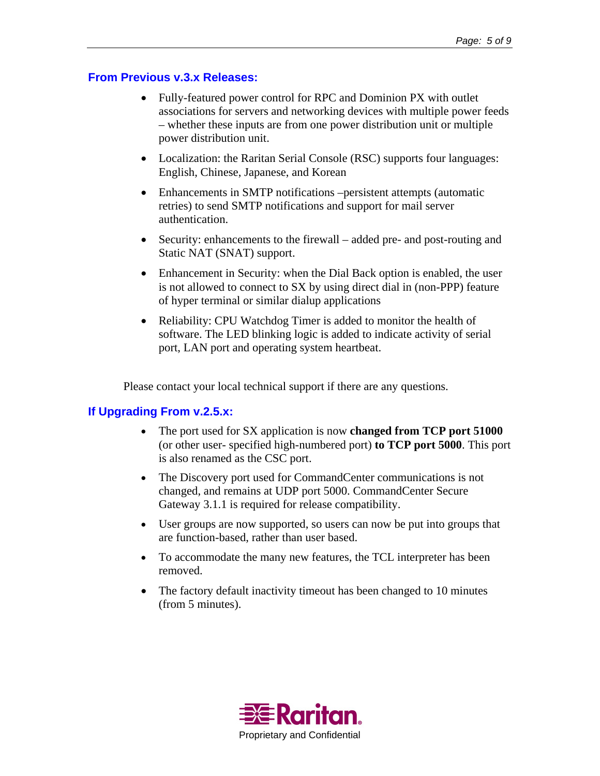### **From Previous v.3.x Releases:**

- Fully-featured power control for RPC and Dominion PX with outlet associations for servers and networking devices with multiple power feeds – whether these inputs are from one power distribution unit or multiple power distribution unit.
- Localization: the Raritan Serial Console (RSC) supports four languages: English, Chinese, Japanese, and Korean
- Enhancements in SMTP notifications –persistent attempts (automatic retries) to send SMTP notifications and support for mail server authentication.
- Security: enhancements to the firewall added pre- and post-routing and Static NAT (SNAT) support.
- Enhancement in Security: when the Dial Back option is enabled, the user is not allowed to connect to SX by using direct dial in (non-PPP) feature of hyper terminal or similar dialup applications
- Reliability: CPU Watchdog Timer is added to monitor the health of software. The LED blinking logic is added to indicate activity of serial port, LAN port and operating system heartbeat.

Please contact your local technical support if there are any questions.

# **If Upgrading From v.2.5.x:**

- The port used for SX application is now **changed from TCP port 51000**  (or other user- specified high-numbered port) **to TCP port 5000**. This port is also renamed as the CSC port.
- The Discovery port used for CommandCenter communications is not changed, and remains at UDP port 5000. CommandCenter Secure Gateway 3.1.1 is required for release compatibility.
- User groups are now supported, so users can now be put into groups that are function-based, rather than user based.
- To accommodate the many new features, the TCL interpreter has been removed.
- The factory default inactivity timeout has been changed to 10 minutes (from 5 minutes).

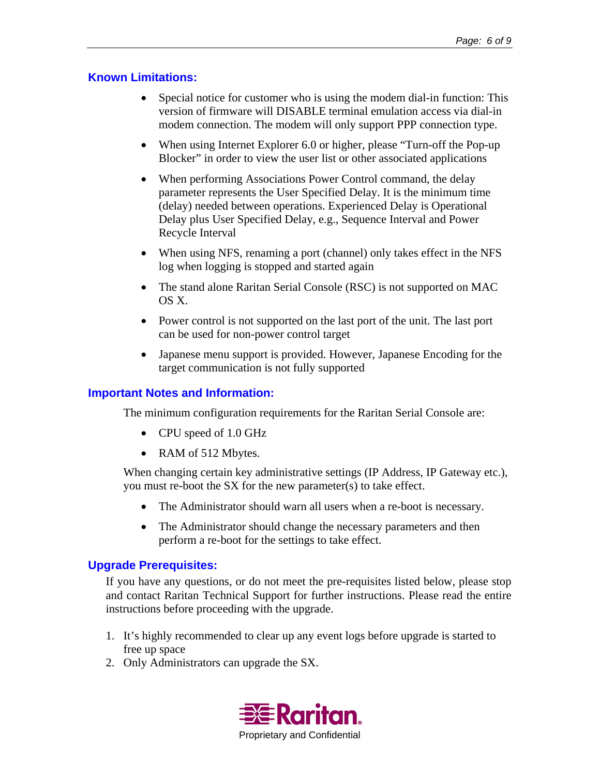## **Known Limitations:**

- Special notice for customer who is using the modem dial-in function: This version of firmware will DISABLE terminal emulation access via dial-in modem connection. The modem will only support PPP connection type.
- When using Internet Explorer 6.0 or higher, please "Turn-off the Pop-up Blocker" in order to view the user list or other associated applications
- When performing Associations Power Control command, the delay parameter represents the User Specified Delay. It is the minimum time (delay) needed between operations. Experienced Delay is Operational Delay plus User Specified Delay, e.g., Sequence Interval and Power Recycle Interval
- When using NFS, renaming a port (channel) only takes effect in the NFS log when logging is stopped and started again
- The stand alone Raritan Serial Console (RSC) is not supported on MAC OS X.
- Power control is not supported on the last port of the unit. The last port can be used for non-power control target
- Japanese menu support is provided. However, Japanese Encoding for the target communication is not fully supported

## **Important Notes and Information:**

The minimum configuration requirements for the Raritan Serial Console are:

- CPU speed of 1.0 GHz
- RAM of 512 Mbytes.

When changing certain key administrative settings (IP Address, IP Gateway etc.), you must re-boot the SX for the new parameter(s) to take effect.

- The Administrator should warn all users when a re-boot is necessary.
- The Administrator should change the necessary parameters and then perform a re-boot for the settings to take effect.

#### **Upgrade Prerequisites:**

If you have any questions, or do not meet the pre-requisites listed below, please stop and contact Raritan Technical Support for further instructions. Please read the entire instructions before proceeding with the upgrade.

- 1. It's highly recommended to clear up any event logs before upgrade is started to free up space
- 2. Only Administrators can upgrade the SX.

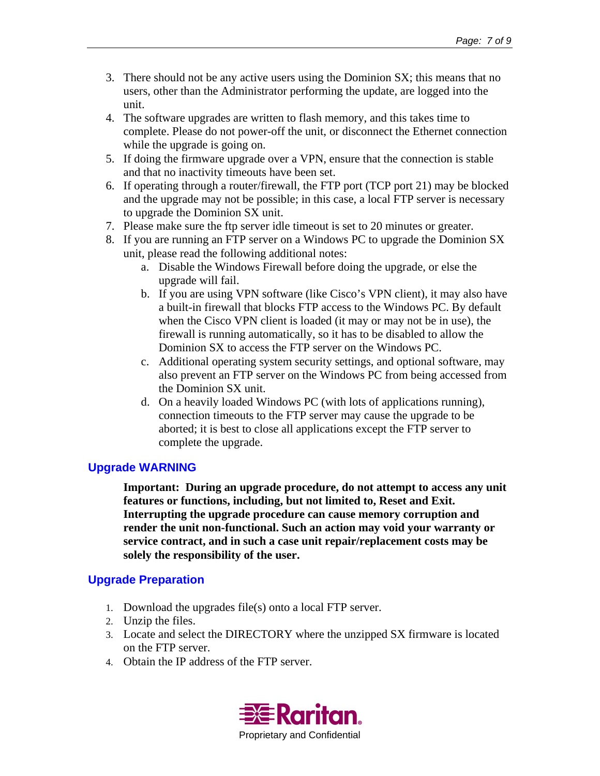- 3. There should not be any active users using the Dominion SX; this means that no users, other than the Administrator performing the update, are logged into the unit.
- 4. The software upgrades are written to flash memory, and this takes time to complete. Please do not power-off the unit, or disconnect the Ethernet connection while the upgrade is going on.
- 5. If doing the firmware upgrade over a VPN, ensure that the connection is stable and that no inactivity timeouts have been set.
- 6. If operating through a router/firewall, the FTP port (TCP port 21) may be blocked and the upgrade may not be possible; in this case, a local FTP server is necessary to upgrade the Dominion SX unit.
- 7. Please make sure the ftp server idle timeout is set to 20 minutes or greater.
- 8. If you are running an FTP server on a Windows PC to upgrade the Dominion SX unit, please read the following additional notes:
	- a. Disable the Windows Firewall before doing the upgrade, or else the upgrade will fail.
	- b. If you are using VPN software (like Cisco's VPN client), it may also have a built-in firewall that blocks FTP access to the Windows PC. By default when the Cisco VPN client is loaded (it may or may not be in use), the firewall is running automatically, so it has to be disabled to allow the Dominion SX to access the FTP server on the Windows PC.
	- c. Additional operating system security settings, and optional software, may also prevent an FTP server on the Windows PC from being accessed from the Dominion SX unit.
	- d. On a heavily loaded Windows PC (with lots of applications running), connection timeouts to the FTP server may cause the upgrade to be aborted; it is best to close all applications except the FTP server to complete the upgrade.

# **Upgrade WARNING**

**Important: During an upgrade procedure, do not attempt to access any unit features or functions, including, but not limited to, Reset and Exit. Interrupting the upgrade procedure can cause memory corruption and render the unit non-functional. Such an action may void your warranty or service contract, and in such a case unit repair/replacement costs may be solely the responsibility of the user.** 

# **Upgrade Preparation**

- 1. Download the upgrades file(s) onto a local FTP server.
- 2. Unzip the files.
- 3. Locate and select the DIRECTORY where the unzipped SX firmware is located on the FTP server.
- 4. Obtain the IP address of the FTP server.

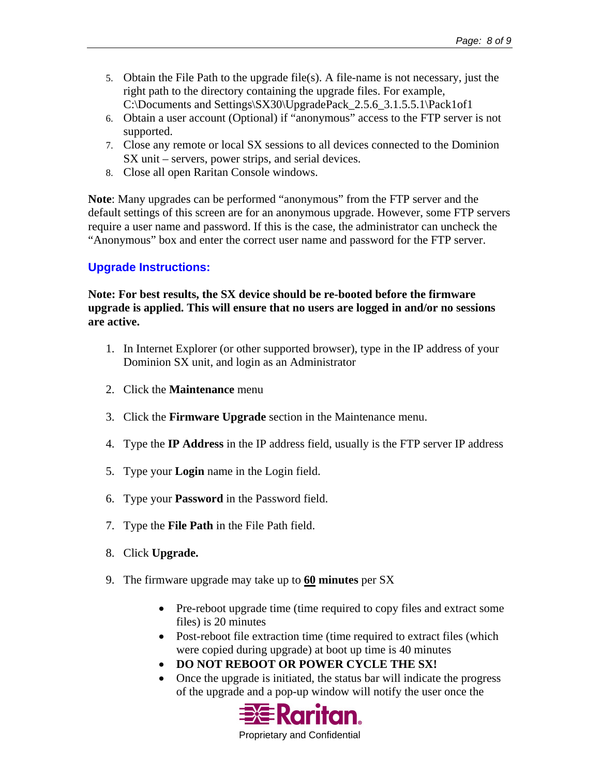- 5. Obtain the File Path to the upgrade file(s). A file-name is not necessary, just the right path to the directory containing the upgrade files. For example, C:\Documents and Settings\SX30\UpgradePack\_2.5.6\_3.1.5.5.1\Pack1of1
- 6. Obtain a user account (Optional) if "anonymous" access to the FTP server is not supported.
- 7. Close any remote or local SX sessions to all devices connected to the Dominion SX unit – servers, power strips, and serial devices.
- 8. Close all open Raritan Console windows.

**Note**: Many upgrades can be performed "anonymous" from the FTP server and the default settings of this screen are for an anonymous upgrade. However, some FTP servers require a user name and password. If this is the case, the administrator can uncheck the "Anonymous" box and enter the correct user name and password for the FTP server.

# **Upgrade Instructions:**

**Note: For best results, the SX device should be re-booted before the firmware upgrade is applied. This will ensure that no users are logged in and/or no sessions are active.** 

- 1. In Internet Explorer (or other supported browser), type in the IP address of your Dominion SX unit, and login as an Administrator
- 2. Click the **Maintenance** menu
- 3. Click the **Firmware Upgrade** section in the Maintenance menu.
- 4. Type the **IP Address** in the IP address field, usually is the FTP server IP address
- 5. Type your **Login** name in the Login field.
- 6. Type your **Password** in the Password field.
- 7. Type the **File Path** in the File Path field.
- 8. Click **Upgrade.**
- 9. The firmware upgrade may take up to **60 minutes** per SX
	- Pre-reboot upgrade time (time required to copy files and extract some files) is 20 minutes
	- Post-reboot file extraction time (time required to extract files (which were copied during upgrade) at boot up time is 40 minutes
	- **DO NOT REBOOT OR POWER CYCLE THE SX!**
	- Once the upgrade is initiated, the status bar will indicate the progress of the upgrade and a pop-up window will notify the user once the